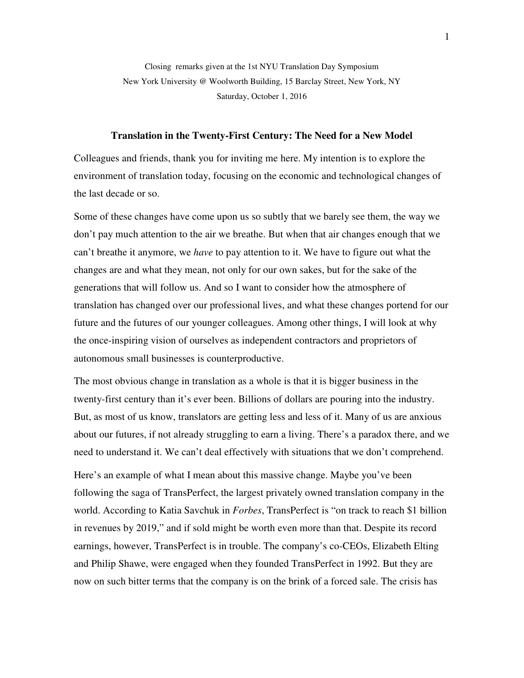Closing remarks given at the 1st NYU Translation Day Symposium New York University @ Woolworth Building, 15 Barclay Street, New York, NY Saturday, October 1, 2016

## **Translation in the Twenty-First Century: The Need for a New Model**

Colleagues and friends, thank you for inviting me here. My intention is to explore the environment of translation today, focusing on the economic and technological changes of the last decade or so.

Some of these changes have come upon us so subtly that we barely see them, the way we don't pay much attention to the air we breathe. But when that air changes enough that we can't breathe it anymore, we *have* to pay attention to it. We have to figure out what the changes are and what they mean, not only for our own sakes, but for the sake of the generations that will follow us. And so I want to consider how the atmosphere of translation has changed over our professional lives, and what these changes portend for our future and the futures of our younger colleagues. Among other things, I will look at why the once-inspiring vision of ourselves as independent contractors and proprietors of autonomous small businesses is counterproductive.

The most obvious change in translation as a whole is that it is bigger business in the twenty-first century than it's ever been. Billions of dollars are pouring into the industry. But, as most of us know, translators are getting less and less of it. Many of us are anxious about our futures, if not already struggling to earn a living. There's a paradox there, and we need to understand it. We can't deal effectively with situations that we don't comprehend.

Here's an example of what I mean about this massive change. Maybe you've been following the saga of TransPerfect, the largest privately owned translation company in the world. According to Katia Savchuk in *Forbes*, TransPerfect is "on track to reach \$1 billion in revenues by 2019," and if sold might be worth even more than that. Despite its record earnings, however, TransPerfect is in trouble. The company's co-CEOs, Elizabeth Elting and Philip Shawe, were engaged when they founded TransPerfect in 1992. But they are now on such bitter terms that the company is on the brink of a forced sale. The crisis has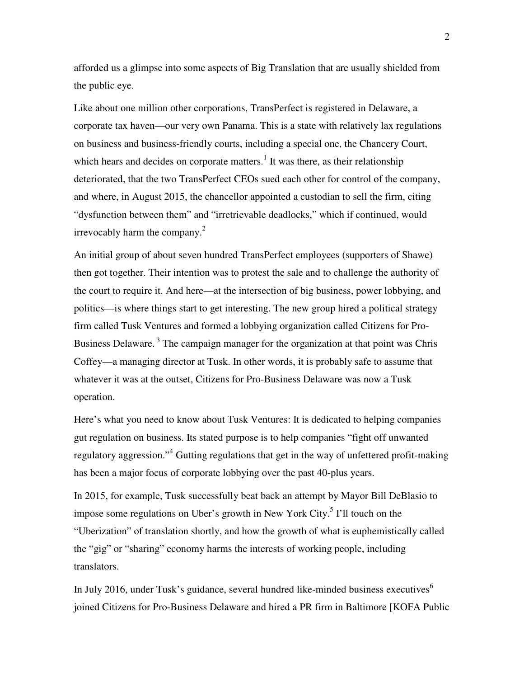afforded us a glimpse into some aspects of Big Translation that are usually shielded from the public eye.

Like about one million other corporations, TransPerfect is registered in Delaware, a corporate tax haven—our very own Panama. This is a state with relatively lax regulations on business and business-friendly courts, including a special one, the Chancery Court, which hears and decides on corporate matters.<sup>1</sup> It was there, as their relationship deteriorated, that the two TransPerfect CEOs sued each other for control of the company, and where, in August 2015, the chancellor appointed a custodian to sell the firm, citing "dysfunction between them" and "irretrievable deadlocks," which if continued, would irrevocably harm the company. $^{2}$ 

An initial group of about seven hundred TransPerfect employees (supporters of Shawe) then got together. Their intention was to protest the sale and to challenge the authority of the court to require it. And here—at the intersection of big business, power lobbying, and politics—is where things start to get interesting. The new group hired a political strategy firm called Tusk Ventures and formed a lobbying organization called Citizens for Pro-Business Delaware.<sup>3</sup> The campaign manager for the organization at that point was Chris Coffey—a managing director at Tusk. In other words, it is probably safe to assume that whatever it was at the outset, Citizens for Pro-Business Delaware was now a Tusk operation.

Here's what you need to know about Tusk Ventures: It is dedicated to helping companies gut regulation on business. Its stated purpose is to help companies "fight off unwanted regulatory aggression."<sup>4</sup> Gutting regulations that get in the way of unfettered profit-making has been a major focus of corporate lobbying over the past 40-plus years.

In 2015, for example, Tusk successfully beat back an attempt by Mayor Bill DeBlasio to impose some regulations on Uber's growth in New York City.<sup>5</sup> I'll touch on the "Uberization" of translation shortly, and how the growth of what is euphemistically called the "gig" or "sharing" economy harms the interests of working people, including translators.

In July 2016, under Tusk's guidance, several hundred like-minded business executives $6$ joined Citizens for Pro-Business Delaware and hired a PR firm in Baltimore [KOFA Public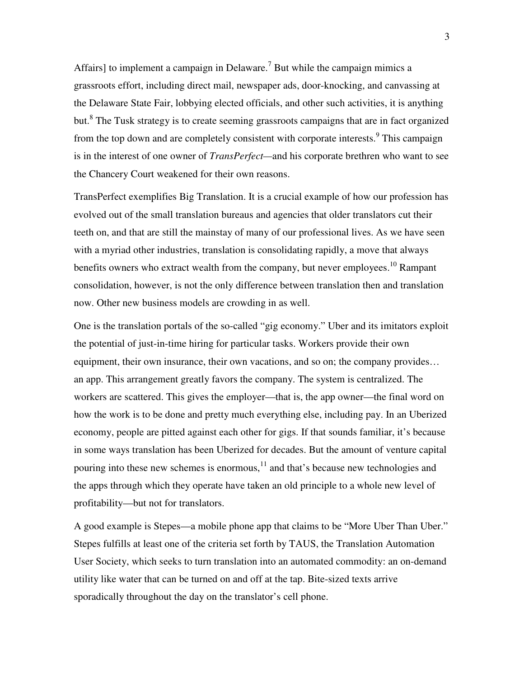Affairs] to implement a campaign in Delaware.<sup>7</sup> But while the campaign mimics a grassroots effort, including direct mail, newspaper ads, door-knocking, and canvassing at the Delaware State Fair, lobbying elected officials, and other such activities, it is anything but.<sup>8</sup> The Tusk strategy is to create seeming grassroots campaigns that are in fact organized from the top down and are completely consistent with corporate interests.<sup>9</sup> This campaign is in the interest of one owner of *TransPerfect—*and his corporate brethren who want to see the Chancery Court weakened for their own reasons.

TransPerfect exemplifies Big Translation. It is a crucial example of how our profession has evolved out of the small translation bureaus and agencies that older translators cut their teeth on, and that are still the mainstay of many of our professional lives. As we have seen with a myriad other industries, translation is consolidating rapidly, a move that always benefits owners who extract wealth from the company, but never employees.<sup>10</sup> Rampant consolidation, however, is not the only difference between translation then and translation now. Other new business models are crowding in as well.

One is the translation portals of the so-called "gig economy." Uber and its imitators exploit the potential of just-in-time hiring for particular tasks. Workers provide their own equipment, their own insurance, their own vacations, and so on; the company provides… an app. This arrangement greatly favors the company. The system is centralized. The workers are scattered. This gives the employer—that is, the app owner—the final word on how the work is to be done and pretty much everything else, including pay. In an Uberized economy, people are pitted against each other for gigs. If that sounds familiar, it's because in some ways translation has been Uberized for decades. But the amount of venture capital pouring into these new schemes is enormous,  $11$  and that's because new technologies and the apps through which they operate have taken an old principle to a whole new level of profitability—but not for translators.

A good example is Stepes—a mobile phone app that claims to be "More Uber Than Uber." Stepes fulfills at least one of the criteria set forth by TAUS, the Translation Automation User Society, which seeks to turn translation into an automated commodity: an on-demand utility like water that can be turned on and off at the tap. Bite-sized texts arrive sporadically throughout the day on the translator's cell phone.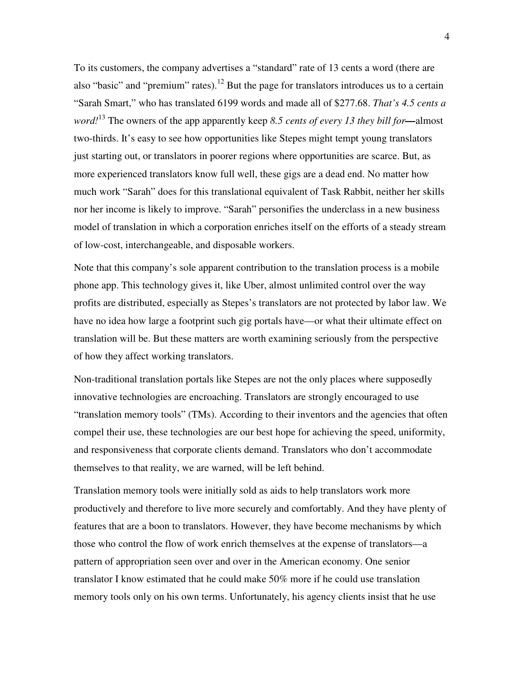To its customers, the company advertises a "standard" rate of 13 cents a word (there are also "basic" and "premium" rates).<sup>12</sup> But the page for translators introduces us to a certain "Sarah Smart," who has translated 6199 words and made all of \$277.68. *That's 4.5 cents a word!*<sup>13</sup> The owners of the app apparently keep *8.5 cents of every 13 they bill for—*almost two-thirds. It's easy to see how opportunities like Stepes might tempt young translators just starting out, or translators in poorer regions where opportunities are scarce. But, as more experienced translators know full well, these gigs are a dead end. No matter how much work "Sarah" does for this translational equivalent of Task Rabbit, neither her skills nor her income is likely to improve. "Sarah" personifies the underclass in a new business model of translation in which a corporation enriches itself on the efforts of a steady stream of low-cost, interchangeable, and disposable workers.

Note that this company's sole apparent contribution to the translation process is a mobile phone app. This technology gives it, like Uber, almost unlimited control over the way profits are distributed, especially as Stepes's translators are not protected by labor law. We have no idea how large a footprint such gig portals have—or what their ultimate effect on translation will be. But these matters are worth examining seriously from the perspective of how they affect working translators.

Non-traditional translation portals like Stepes are not the only places where supposedly innovative technologies are encroaching. Translators are strongly encouraged to use "translation memory tools" (TMs). According to their inventors and the agencies that often compel their use, these technologies are our best hope for achieving the speed, uniformity, and responsiveness that corporate clients demand. Translators who don't accommodate themselves to that reality, we are warned, will be left behind.

Translation memory tools were initially sold as aids to help translators work more productively and therefore to live more securely and comfortably. And they have plenty of features that are a boon to translators. However, they have become mechanisms by which those who control the flow of work enrich themselves at the expense of translators—a pattern of appropriation seen over and over in the American economy. One senior translator I know estimated that he could make 50% more if he could use translation memory tools only on his own terms. Unfortunately, his agency clients insist that he use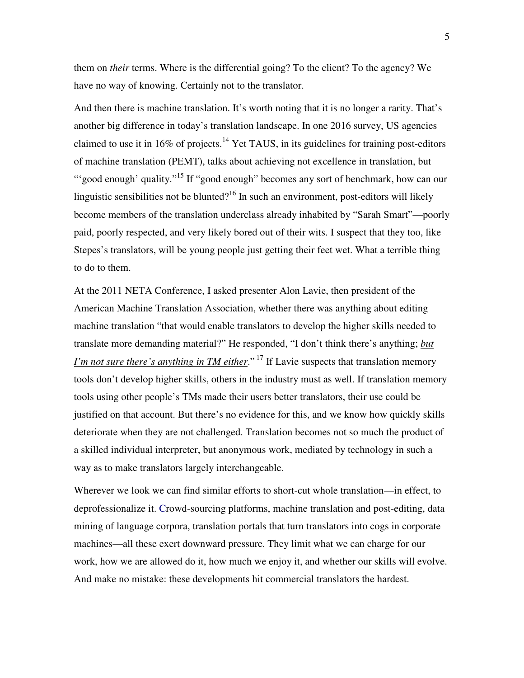them on *their* terms. Where is the differential going? To the client? To the agency? We have no way of knowing. Certainly not to the translator.

And then there is machine translation. It's worth noting that it is no longer a rarity. That's another big difference in today's translation landscape. In one 2016 survey, US agencies claimed to use it in 16% of projects.<sup>14</sup> Yet TAUS, in its guidelines for training post-editors of machine translation (PEMT), talks about achieving not excellence in translation, but "'good enough' quality."<sup>15</sup> If "good enough" becomes any sort of benchmark, how can our linguistic sensibilities not be blunted?<sup>16</sup> In such an environment, post-editors will likely become members of the translation underclass already inhabited by "Sarah Smart"—poorly paid, poorly respected, and very likely bored out of their wits. I suspect that they too, like Stepes's translators, will be young people just getting their feet wet. What a terrible thing to do to them.

At the 2011 NETA Conference, I asked presenter Alon Lavie, then president of the American Machine Translation Association, whether there was anything about editing machine translation "that would enable translators to develop the higher skills needed to translate more demanding material?" He responded, "I don't think there's anything; *but I'm not sure there's anything in TM either*."<sup>17</sup> If Lavie suspects that translation memory tools don't develop higher skills, others in the industry must as well. If translation memory tools using other people's TMs made their users better translators, their use could be justified on that account. But there's no evidence for this, and we know how quickly skills deteriorate when they are not challenged. Translation becomes not so much the product of a skilled individual interpreter, but anonymous work, mediated by technology in such a way as to make translators largely interchangeable.

Wherever we look we can find similar efforts to short-cut whole translation—in effect, to deprofessionalize it. Crowd-sourcing platforms, machine translation and post-editing, data mining of language corpora, translation portals that turn translators into cogs in corporate machines—all these exert downward pressure. They limit what we can charge for our work, how we are allowed do it, how much we enjoy it, and whether our skills will evolve. And make no mistake: these developments hit commercial translators the hardest.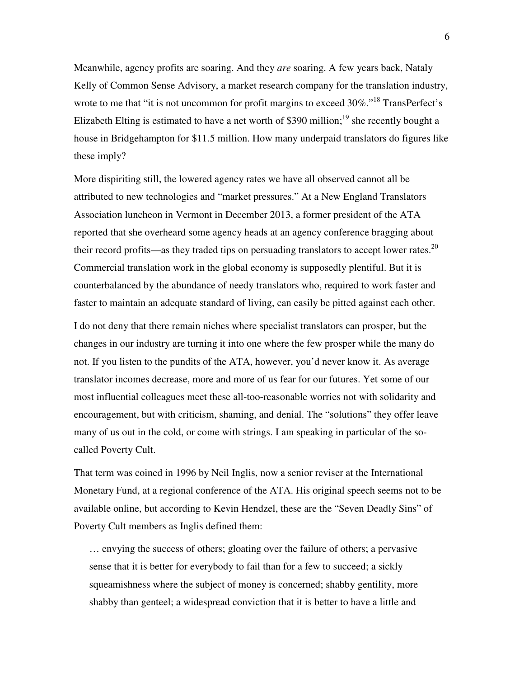Meanwhile, agency profits are soaring. And they *are* soaring. A few years back, Nataly Kelly of Common Sense Advisory, a market research company for the translation industry, wrote to me that "it is not uncommon for profit margins to exceed 30%."<sup>18</sup> TransPerfect's Elizabeth Elting is estimated to have a net worth of \$390 million;<sup>19</sup> she recently bought a house in Bridgehampton for \$11.5 million. How many underpaid translators do figures like these imply?

More dispiriting still, the lowered agency rates we have all observed cannot all be attributed to new technologies and "market pressures." At a New England Translators Association luncheon in Vermont in December 2013, a former president of the ATA reported that she overheard some agency heads at an agency conference bragging about their record profits—as they traded tips on persuading translators to accept lower rates.<sup>20</sup> Commercial translation work in the global economy is supposedly plentiful. But it is counterbalanced by the abundance of needy translators who, required to work faster and faster to maintain an adequate standard of living, can easily be pitted against each other.

I do not deny that there remain niches where specialist translators can prosper, but the changes in our industry are turning it into one where the few prosper while the many do not. If you listen to the pundits of the ATA, however, you'd never know it. As average translator incomes decrease, more and more of us fear for our futures. Yet some of our most influential colleagues meet these all-too-reasonable worries not with solidarity and encouragement, but with criticism, shaming, and denial. The "solutions" they offer leave many of us out in the cold, or come with strings. I am speaking in particular of the socalled Poverty Cult.

That term was coined in 1996 by Neil Inglis, now a senior reviser at the International Monetary Fund, at a regional conference of the ATA. His original speech seems not to be available online, but according to Kevin Hendzel, these are the "Seven Deadly Sins" of Poverty Cult members as Inglis defined them:

… envying the success of others; gloating over the failure of others; a pervasive sense that it is better for everybody to fail than for a few to succeed; a sickly squeamishness where the subject of money is concerned; shabby gentility, more shabby than genteel; a widespread conviction that it is better to have a little and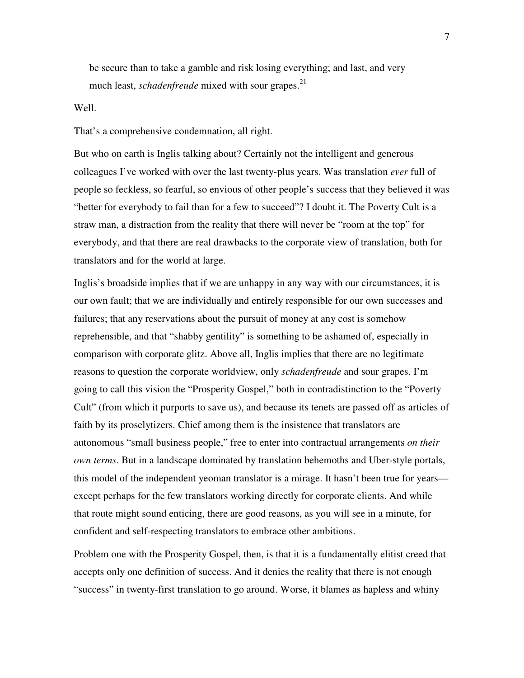be secure than to take a gamble and risk losing everything; and last, and very much least, *schadenfreude* mixed with sour grapes.<sup>21</sup>

## Well.

## That's a comprehensive condemnation, all right.

But who on earth is Inglis talking about? Certainly not the intelligent and generous colleagues I've worked with over the last twenty-plus years. Was translation *ever* full of people so feckless, so fearful, so envious of other people's success that they believed it was "better for everybody to fail than for a few to succeed"? I doubt it. The Poverty Cult is a straw man, a distraction from the reality that there will never be "room at the top" for everybody, and that there are real drawbacks to the corporate view of translation, both for translators and for the world at large.

Inglis's broadside implies that if we are unhappy in any way with our circumstances, it is our own fault; that we are individually and entirely responsible for our own successes and failures; that any reservations about the pursuit of money at any cost is somehow reprehensible, and that "shabby gentility" is something to be ashamed of, especially in comparison with corporate glitz. Above all, Inglis implies that there are no legitimate reasons to question the corporate worldview, only *schadenfreude* and sour grapes. I'm going to call this vision the "Prosperity Gospel," both in contradistinction to the "Poverty Cult" (from which it purports to save us), and because its tenets are passed off as articles of faith by its proselytizers. Chief among them is the insistence that translators are autonomous "small business people," free to enter into contractual arrangements *on their own terms*. But in a landscape dominated by translation behemoths and Uber-style portals, this model of the independent yeoman translator is a mirage. It hasn't been true for years except perhaps for the few translators working directly for corporate clients. And while that route might sound enticing, there are good reasons, as you will see in a minute, for confident and self-respecting translators to embrace other ambitions.

Problem one with the Prosperity Gospel, then, is that it is a fundamentally elitist creed that accepts only one definition of success. And it denies the reality that there is not enough "success" in twenty-first translation to go around. Worse, it blames as hapless and whiny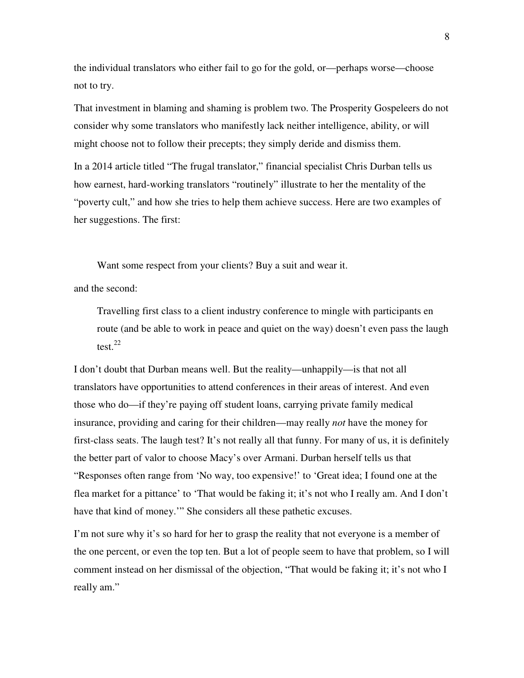the individual translators who either fail to go for the gold, or—perhaps worse—choose not to try.

That investment in blaming and shaming is problem two. The Prosperity Gospeleers do not consider why some translators who manifestly lack neither intelligence, ability, or will might choose not to follow their precepts; they simply deride and dismiss them.

In a 2014 article titled "The frugal translator," financial specialist Chris Durban tells us how earnest, hard-working translators "routinely" illustrate to her the mentality of the "poverty cult," and how she tries to help them achieve success. Here are two examples of her suggestions. The first:

Want some respect from your clients? Buy a suit and wear it.

and the second:

Travelling first class to a client industry conference to mingle with participants en route (and be able to work in peace and quiet on the way) doesn't even pass the laugh test. $^{22}$ 

I don't doubt that Durban means well. But the reality—unhappily—is that not all translators have opportunities to attend conferences in their areas of interest. And even those who do—if they're paying off student loans, carrying private family medical insurance, providing and caring for their children—may really *not* have the money for first-class seats. The laugh test? It's not really all that funny. For many of us, it is definitely the better part of valor to choose Macy's over Armani. Durban herself tells us that "Responses often range from 'No way, too expensive!' to 'Great idea; I found one at the flea market for a pittance' to 'That would be faking it; it's not who I really am. And I don't have that kind of money.'" She considers all these pathetic excuses.

I'm not sure why it's so hard for her to grasp the reality that not everyone is a member of the one percent, or even the top ten. But a lot of people seem to have that problem, so I will comment instead on her dismissal of the objection, "That would be faking it; it's not who I really am."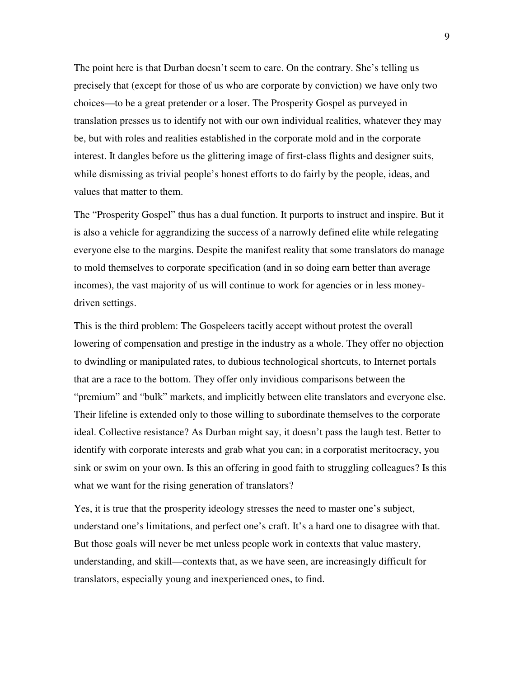The point here is that Durban doesn't seem to care. On the contrary. She's telling us precisely that (except for those of us who are corporate by conviction) we have only two choices—to be a great pretender or a loser. The Prosperity Gospel as purveyed in translation presses us to identify not with our own individual realities, whatever they may be, but with roles and realities established in the corporate mold and in the corporate interest. It dangles before us the glittering image of first-class flights and designer suits, while dismissing as trivial people's honest efforts to do fairly by the people, ideas, and values that matter to them.

The "Prosperity Gospel" thus has a dual function. It purports to instruct and inspire. But it is also a vehicle for aggrandizing the success of a narrowly defined elite while relegating everyone else to the margins. Despite the manifest reality that some translators do manage to mold themselves to corporate specification (and in so doing earn better than average incomes), the vast majority of us will continue to work for agencies or in less moneydriven settings.

This is the third problem: The Gospeleers tacitly accept without protest the overall lowering of compensation and prestige in the industry as a whole. They offer no objection to dwindling or manipulated rates, to dubious technological shortcuts, to Internet portals that are a race to the bottom. They offer only invidious comparisons between the "premium" and "bulk" markets, and implicitly between elite translators and everyone else. Their lifeline is extended only to those willing to subordinate themselves to the corporate ideal. Collective resistance? As Durban might say, it doesn't pass the laugh test. Better to identify with corporate interests and grab what you can; in a corporatist meritocracy, you sink or swim on your own. Is this an offering in good faith to struggling colleagues? Is this what we want for the rising generation of translators?

Yes, it is true that the prosperity ideology stresses the need to master one's subject, understand one's limitations, and perfect one's craft. It's a hard one to disagree with that. But those goals will never be met unless people work in contexts that value mastery, understanding, and skill—contexts that, as we have seen, are increasingly difficult for translators, especially young and inexperienced ones, to find.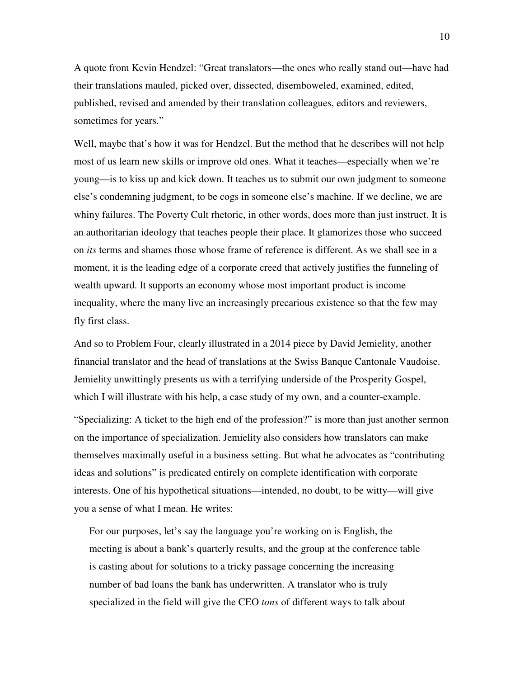A quote from Kevin Hendzel: "Great translators—the ones who really stand out—have had their translations mauled, picked over, dissected, disemboweled, examined, edited, published, revised and amended by their translation colleagues, editors and reviewers, sometimes for years."

Well, maybe that's how it was for Hendzel. But the method that he describes will not help most of us learn new skills or improve old ones. What it teaches—especially when we're young—is to kiss up and kick down. It teaches us to submit our own judgment to someone else's condemning judgment, to be cogs in someone else's machine. If we decline, we are whiny failures. The Poverty Cult rhetoric, in other words, does more than just instruct. It is an authoritarian ideology that teaches people their place. It glamorizes those who succeed on *its* terms and shames those whose frame of reference is different. As we shall see in a moment, it is the leading edge of a corporate creed that actively justifies the funneling of wealth upward. It supports an economy whose most important product is income inequality, where the many live an increasingly precarious existence so that the few may fly first class.

And so to Problem Four, clearly illustrated in a 2014 piece by David Jemielity, another financial translator and the head of translations at the Swiss Banque Cantonale Vaudoise. Jemielity unwittingly presents us with a terrifying underside of the Prosperity Gospel, which I will illustrate with his help, a case study of my own, and a counter-example.

"Specializing: A ticket to the high end of the profession?" is more than just another sermon on the importance of specialization. Jemielity also considers how translators can make themselves maximally useful in a business setting. But what he advocates as "contributing ideas and solutions" is predicated entirely on complete identification with corporate interests. One of his hypothetical situations—intended, no doubt, to be witty—will give you a sense of what I mean. He writes:

For our purposes, let's say the language you're working on is English, the meeting is about a bank's quarterly results, and the group at the conference table is casting about for solutions to a tricky passage concerning the increasing number of bad loans the bank has underwritten. A translator who is truly specialized in the field will give the CEO *tons* of different ways to talk about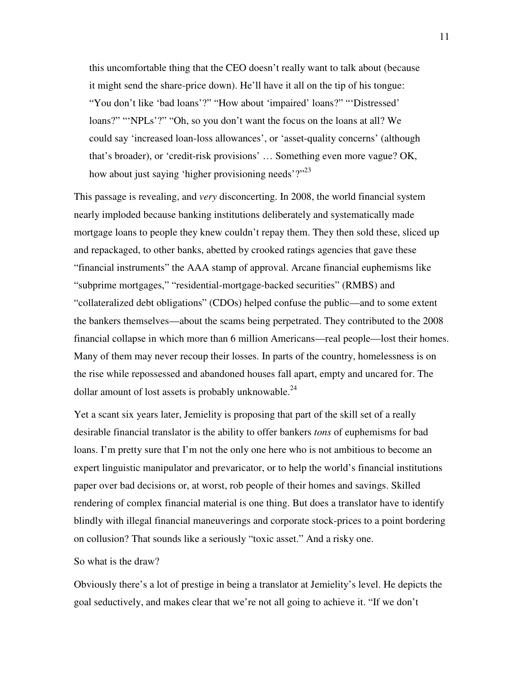this uncomfortable thing that the CEO doesn't really want to talk about (because it might send the share-price down). He'll have it all on the tip of his tongue: "You don't like 'bad loans'?" "How about 'impaired' loans?" "'Distressed' loans?" "'NPLs'?" "Oh, so you don't want the focus on the loans at all? We could say 'increased loan-loss allowances', or 'asset-quality concerns' (although that's broader), or 'credit-risk provisions' … Something even more vague? OK, how about just saying 'higher provisioning needs'?"<sup>23</sup>

This passage is revealing, and *very* disconcerting. In 2008, the world financial system nearly imploded because banking institutions deliberately and systematically made mortgage loans to people they knew couldn't repay them. They then sold these, sliced up and repackaged, to other banks, abetted by crooked ratings agencies that gave these "financial instruments" the AAA stamp of approval. Arcane financial euphemisms like "subprime mortgages," "residential-mortgage-backed securities" (RMBS) and "collateralized debt obligations" (CDOs) helped confuse the public—and to some extent the bankers themselves—about the scams being perpetrated. They contributed to the 2008 financial collapse in which more than 6 million Americans—real people—lost their homes. Many of them may never recoup their losses. In parts of the country, homelessness is on the rise while repossessed and abandoned houses fall apart, empty and uncared for. The dollar amount of lost assets is probably unknowable.<sup>24</sup>

Yet a scant six years later, Jemielity is proposing that part of the skill set of a really desirable financial translator is the ability to offer bankers *tons* of euphemisms for bad loans. I'm pretty sure that I'm not the only one here who is not ambitious to become an expert linguistic manipulator and prevaricator, or to help the world's financial institutions paper over bad decisions or, at worst, rob people of their homes and savings. Skilled rendering of complex financial material is one thing. But does a translator have to identify blindly with illegal financial maneuverings and corporate stock-prices to a point bordering on collusion? That sounds like a seriously "toxic asset." And a risky one.

## So what is the draw?

Obviously there's a lot of prestige in being a translator at Jemielity's level. He depicts the goal seductively, and makes clear that we're not all going to achieve it. "If we don't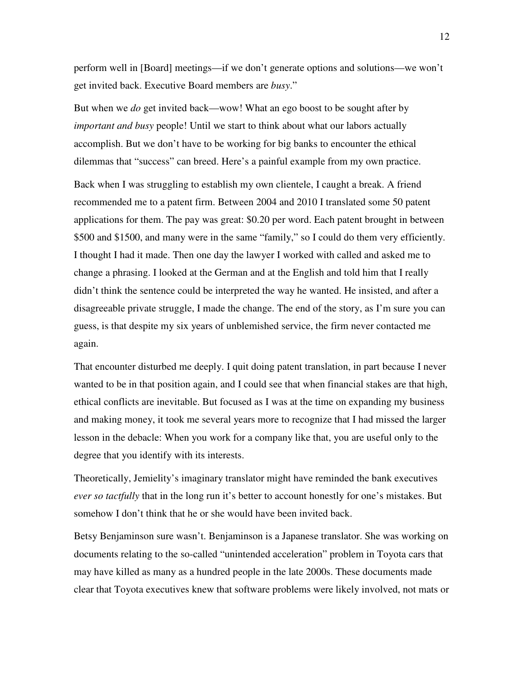perform well in [Board] meetings—if we don't generate options and solutions—we won't get invited back. Executive Board members are *busy*."

But when we *do* get invited back—wow! What an ego boost to be sought after by *important and busy* people! Until we start to think about what our labors actually accomplish. But we don't have to be working for big banks to encounter the ethical dilemmas that "success" can breed. Here's a painful example from my own practice.

Back when I was struggling to establish my own clientele, I caught a break. A friend recommended me to a patent firm. Between 2004 and 2010 I translated some 50 patent applications for them. The pay was great: \$0.20 per word. Each patent brought in between \$500 and \$1500, and many were in the same "family," so I could do them very efficiently. I thought I had it made. Then one day the lawyer I worked with called and asked me to change a phrasing. I looked at the German and at the English and told him that I really didn't think the sentence could be interpreted the way he wanted. He insisted, and after a disagreeable private struggle, I made the change. The end of the story, as I'm sure you can guess, is that despite my six years of unblemished service, the firm never contacted me again.

That encounter disturbed me deeply. I quit doing patent translation, in part because I never wanted to be in that position again, and I could see that when financial stakes are that high, ethical conflicts are inevitable. But focused as I was at the time on expanding my business and making money, it took me several years more to recognize that I had missed the larger lesson in the debacle: When you work for a company like that, you are useful only to the degree that you identify with its interests.

Theoretically, Jemielity's imaginary translator might have reminded the bank executives *ever so tactfully* that in the long run it's better to account honestly for one's mistakes. But somehow I don't think that he or she would have been invited back.

Betsy Benjaminson sure wasn't. Benjaminson is a Japanese translator. She was working on documents relating to the so-called "unintended acceleration" problem in Toyota cars that may have killed as many as a hundred people in the late 2000s. These documents made clear that Toyota executives knew that software problems were likely involved, not mats or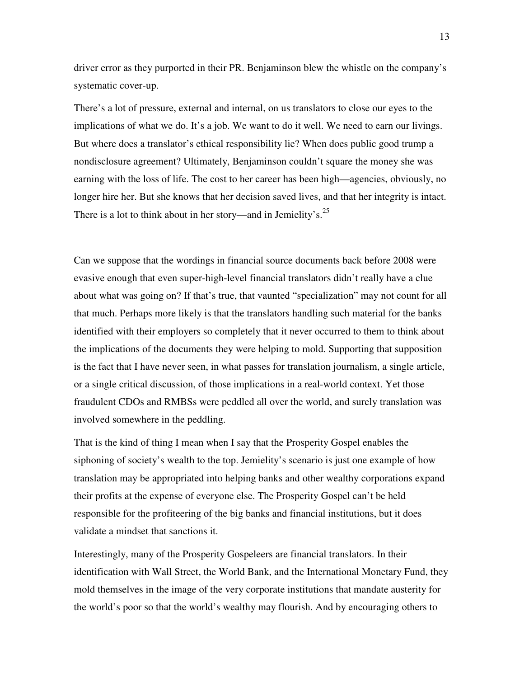driver error as they purported in their PR. Benjaminson blew the whistle on the company's systematic cover-up.

There's a lot of pressure, external and internal, on us translators to close our eyes to the implications of what we do. It's a job. We want to do it well. We need to earn our livings. But where does a translator's ethical responsibility lie? When does public good trump a nondisclosure agreement? Ultimately, Benjaminson couldn't square the money she was earning with the loss of life. The cost to her career has been high—agencies, obviously, no longer hire her. But she knows that her decision saved lives, and that her integrity is intact. There is a lot to think about in her story—and in Jemielity's.<sup>25</sup>

Can we suppose that the wordings in financial source documents back before 2008 were evasive enough that even super-high-level financial translators didn't really have a clue about what was going on? If that's true, that vaunted "specialization" may not count for all that much. Perhaps more likely is that the translators handling such material for the banks identified with their employers so completely that it never occurred to them to think about the implications of the documents they were helping to mold. Supporting that supposition is the fact that I have never seen, in what passes for translation journalism, a single article, or a single critical discussion, of those implications in a real-world context. Yet those fraudulent CDOs and RMBSs were peddled all over the world, and surely translation was involved somewhere in the peddling.

That is the kind of thing I mean when I say that the Prosperity Gospel enables the siphoning of society's wealth to the top. Jemielity's scenario is just one example of how translation may be appropriated into helping banks and other wealthy corporations expand their profits at the expense of everyone else. The Prosperity Gospel can't be held responsible for the profiteering of the big banks and financial institutions, but it does validate a mindset that sanctions it.

Interestingly, many of the Prosperity Gospeleers are financial translators. In their identification with Wall Street, the World Bank, and the International Monetary Fund, they mold themselves in the image of the very corporate institutions that mandate austerity for the world's poor so that the world's wealthy may flourish. And by encouraging others to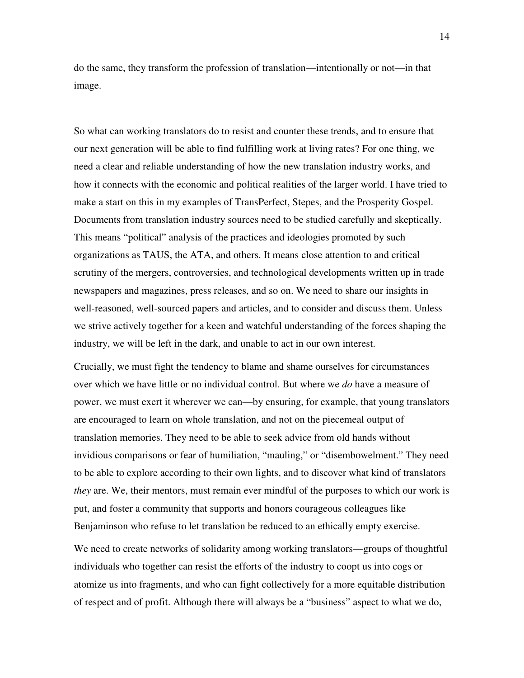do the same, they transform the profession of translation—intentionally or not—in that image.

So what can working translators do to resist and counter these trends, and to ensure that our next generation will be able to find fulfilling work at living rates? For one thing, we need a clear and reliable understanding of how the new translation industry works, and how it connects with the economic and political realities of the larger world. I have tried to make a start on this in my examples of TransPerfect, Stepes, and the Prosperity Gospel. Documents from translation industry sources need to be studied carefully and skeptically. This means "political" analysis of the practices and ideologies promoted by such organizations as TAUS, the ATA, and others. It means close attention to and critical scrutiny of the mergers, controversies, and technological developments written up in trade newspapers and magazines, press releases, and so on. We need to share our insights in well-reasoned, well-sourced papers and articles, and to consider and discuss them. Unless we strive actively together for a keen and watchful understanding of the forces shaping the industry, we will be left in the dark, and unable to act in our own interest.

Crucially, we must fight the tendency to blame and shame ourselves for circumstances over which we have little or no individual control. But where we *do* have a measure of power, we must exert it wherever we can—by ensuring, for example, that young translators are encouraged to learn on whole translation, and not on the piecemeal output of translation memories. They need to be able to seek advice from old hands without invidious comparisons or fear of humiliation, "mauling," or "disembowelment." They need to be able to explore according to their own lights, and to discover what kind of translators *they* are. We, their mentors, must remain ever mindful of the purposes to which our work is put, and foster a community that supports and honors courageous colleagues like Benjaminson who refuse to let translation be reduced to an ethically empty exercise.

We need to create networks of solidarity among working translators—groups of thoughtful individuals who together can resist the efforts of the industry to coopt us into cogs or atomize us into fragments, and who can fight collectively for a more equitable distribution of respect and of profit. Although there will always be a "business" aspect to what we do,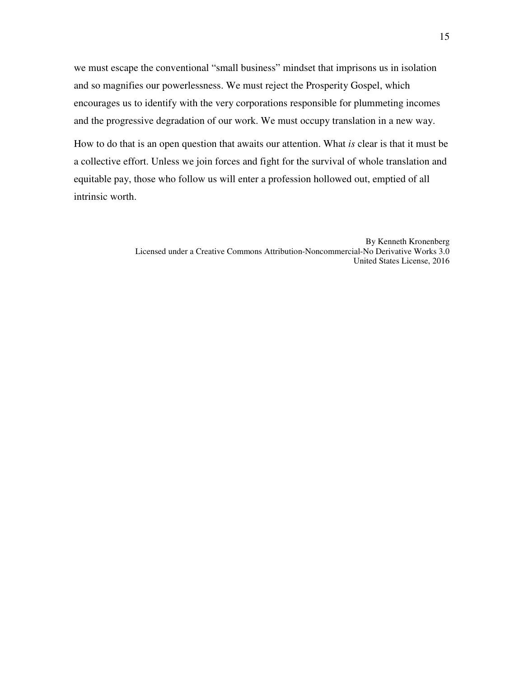we must escape the conventional "small business" mindset that imprisons us in isolation and so magnifies our powerlessness. We must reject the Prosperity Gospel, which encourages us to identify with the very corporations responsible for plummeting incomes and the progressive degradation of our work. We must occupy translation in a new way.

How to do that is an open question that awaits our attention. What *is* clear is that it must be a collective effort. Unless we join forces and fight for the survival of whole translation and equitable pay, those who follow us will enter a profession hollowed out, emptied of all intrinsic worth.

> By Kenneth Kronenberg Licensed under a Creative Commons Attribution-Noncommercial-No Derivative Works 3.0 United States License, 2016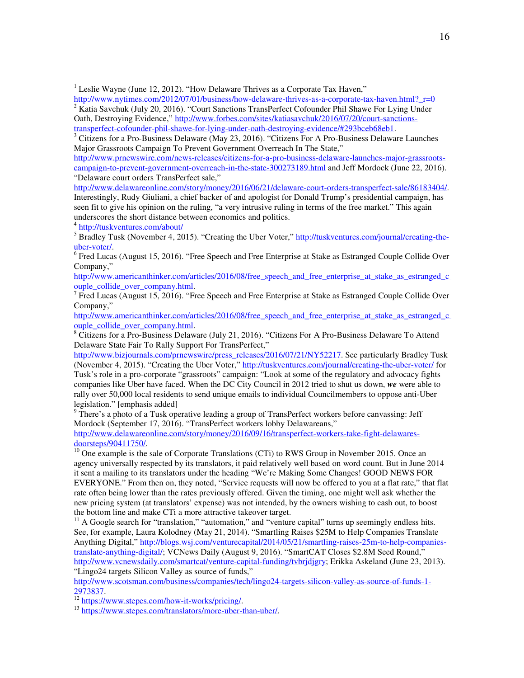<sup>1</sup> Leslie Wayne (June 12, 2012). "How Delaware Thrives as a Corporate Tax Haven,"

http://www.nytimes.com/2012/07/01/business/how-delaware-thrives-as-a-corporate-tax-haven.html?\_r=0 <sup>2</sup> Katia Savchuk (July 20, 2016). "Court Sanctions TransPerfect Cofounder Phil Shawe For Lying Under Oath, Destroying Evidence," http://www.forbes.com/sites/katiasavchuk/2016/07/20/court-sanctions-

transperfect-cofounder-phil-shawe-for-lying-under-oath-destroying-evidence/#293bceb68eb1.

<sup>3</sup> Citizens for a Pro-Business Delaware (May 23, 2016). "Citizens For A Pro-Business Delaware Launches Major Grassroots Campaign To Prevent Government Overreach In The State,"

http://www.prnewswire.com/news-releases/citizens-for-a-pro-business-delaware-launches-major-grassrootscampaign-to-prevent-government-overreach-in-the-state-300273189.html and Jeff Mordock (June 22, 2016). "Delaware court orders TransPerfect sale,"

http://www.delawareonline.com/story/money/2016/06/21/delaware-court-orders-transperfect-sale/86183404/. Interestingly, Rudy Giuliani, a chief backer of and apologist for Donald Trump's presidential campaign, has seen fit to give his opinion on the ruling, "a very intrusive ruling in terms of the free market." This again underscores the short distance between economics and politics.

4 http://tuskventures.com/about/

<sup>5</sup> Bradley Tusk (November 4, 2015). "Creating the Uber Voter," http://tuskventures.com/journal/creating-theuber-voter/.

<sup>6</sup> Fred Lucas (August 15, 2016). "Free Speech and Free Enterprise at Stake as Estranged Couple Collide Over Company,"

http://www.americanthinker.com/articles/2016/08/free\_speech\_and\_free\_enterprise\_at\_stake\_as\_estranged\_c\_ ouple\_collide\_over\_company.html.

<sup>7</sup> Fred Lucas (August 15, 2016). "Free Speech and Free Enterprise at Stake as Estranged Couple Collide Over Company,"

http://www.americanthinker.com/articles/2016/08/free\_speech\_and\_free\_enterprise\_at\_stake\_as\_estranged\_c\_ ouple\_collide\_over\_company.html.

<sup>8</sup> Citizens for a Pro-Business Delaware (July 21, 2016). "Citizens For A Pro-Business Delaware To Attend Delaware State Fair To Rally Support For TransPerfect,"

http://www.bizjournals.com/prnewswire/press\_releases/2016/07/21/NY52217. See particularly Bradley Tusk (November 4, 2015). "Creating the Uber Voter," http://tuskventures.com/journal/creating-the-uber-voter/ for Tusk's role in a pro-corporate "grassroots" campaign: "Look at some of the regulatory and advocacy fights companies like Uber have faced. When the DC City Council in 2012 tried to shut us down, *we* were able to rally over 50,000 local residents to send unique emails to individual Councilmembers to oppose anti-Uber legislation." [emphasis added]

 $9$  There's a photo of a Tusk operative leading a group of TransPerfect workers before canvassing: Jeff Mordock (September 17, 2016). "TransPerfect workers lobby Delawareans,"

http://www.delawareonline.com/story/money/2016/09/16/transperfect-workers-take-fight-delawaresdoorsteps/90411750/.

<sup>10</sup> One example is the sale of Corporate Translations (CTi) to RWS Group in November 2015. Once an agency universally respected by its translators, it paid relatively well based on word count. But in June 2014 it sent a mailing to its translators under the heading "We're Making Some Changes! GOOD NEWS FOR EVERYONE." From then on, they noted, "Service requests will now be offered to you at a flat rate," that flat rate often being lower than the rates previously offered. Given the timing, one might well ask whether the new pricing system (at translators' expense) was not intended, by the owners wishing to cash out, to boost the bottom line and make CTi a more attractive takeover target.

 $11$  A Google search for "translation," "automation," and "venture capital" turns up seemingly endless hits. See, for example, Laura Kolodney (May 21, 2014). "Smartling Raises \$25M to Help Companies Translate Anything Digital," http://blogs.wsj.com/venturecapital/2014/05/21/smartling-raises-25m-to-help-companiestranslate-anything-digital/; VCNews Daily (August 9, 2016). "SmartCAT Closes \$2.8M Seed Round," http://www.vcnewsdaily.com/smartcat/venture-capital-funding/tvbrjdjgry; Erikka Askeland (June 23, 2013). "Lingo24 targets Silicon Valley as source of funds,"

http://www.scotsman.com/business/companies/tech/lingo24-targets-silicon-valley-as-source-of-funds-1-2973837.

 $\frac{12}{12}$  https://www.stepes.com/how-it-works/pricing/.

<sup>13</sup> https://www.stepes.com/translators/more-uber-than-uber/.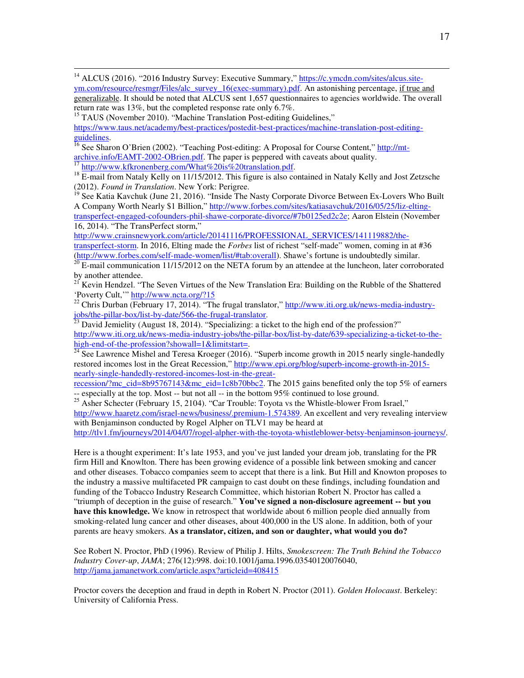<sup>14</sup> ALCUS (2016). "2016 Industry Survey: Executive Summary," https://c.ymcdn.com/sites/alcus.siteym.com/resource/resmgr/Files/alc\_survey\_16(exec-summary).pdf. An astonishing percentage, if true and

generalizable. It should be noted that ALCUS sent 1,657 questionnaires to agencies worldwide. The overall return rate was 13%, but the completed response rate only 6.7%.

<sup>15</sup> TAUS (November 2010). "Machine Translation Post-editing Guidelines,"

 $\overline{a}$ 

https://www.taus.net/academy/best-practices/postedit-best-practices/machine-translation-post-editingguidelines.

<sup>16</sup> See Sharon O'Brien (2002). "Teaching Post-editing: A Proposal for Course Content," http://mt- $\frac{archive.info/EAMT-2002-OBrien.pdf}{\frac{17 \text{ km} \cdot \text{m}}{11 \text{ km} \cdot \text{m}} \cdot \frac{1}{200}}$ . The paper is peppered with caveats about quality. http://www.kfkronenberg.com/What%20is%20translation.pdf.

<sup>18</sup> E-mail from Nataly Kelly on 11/15/2012. This figure is also contained in Nataly Kelly and Jost Zetzsche (2012). *Found in Translation*. New York: Perigree.

<sup>19</sup> See Katia Kavchuk (June 21, 2016). "Inside The Nasty Corporate Divorce Between Ex-Lovers Who Built A Company Worth Nearly \$1 Billion," http://www.forbes.com/sites/katiasavchuk/2016/05/25/liz-eltingtransperfect-engaged-cofounders-phil-shawe-corporate-divorce/#7b0125ed2c2e; Aaron Elstein (November 16, 2014). "The TransPerfect storm,"

http://www.crainsnewyork.com/article/20141116/PROFESSIONAL\_SERVICES/141119882/thetransperfect-storm. In 2016, Elting made the *Forbes* list of richest "self-made" women, coming in at #36

(http://www.forbes.com/self-made-women/list/#tab:overall). Shawe's fortune is undoubtedly similar.

 $^{20}$  E-mail communication 11/15/2012 on the NETA forum by an attendee at the luncheon, later corroborated by another attendee.

<sup>21</sup> Kevin Hendzel. "The Seven Virtues of the New Translation Era: Building on the Rubble of the Shattered 'Poverty Cult,'" http://www.ncta.org/?15

 $^{22}$  Chris Durban (February 17, 2014). "The frugal translator," http://www.iti.org.uk/news-media-industryjobs/the-pillar-box/list-by-date/566-the-frugal-translator.

 $23$  David Jemielity (August 18, 2014). "Specializing: a ticket to the high end of the profession?" http://www.iti.org.uk/news-media-industry-jobs/the-pillar-box/list-by-date/639-specializing-a-ticket-to-thehigh-end-of-the-profession?showall=1&limitstart=.

 $\frac{24}{24}$  See Lawrence Mishel and Teresa Kroeger (2016). "Superb income growth in 2015 nearly single-handedly restored incomes lost in the Great Recession," http://www.epi.org/blog/superb-income-growth-in-2015 nearly-single-handedly-restored-incomes-lost-in-the-great-

recession/?mc\_cid=8b95767143&mc\_eid=1c8b70bbc2. The 2015 gains benefited only the top 5% of earners -- especially at the top. Most -- but not all -- in the bottom 95% continued to lose ground.

 $^{25}$  Asher Schecter (February 15, 2104). "Car Trouble: Toyota vs the Whistle-blower From Israel," http://www.haaretz.com/israel-news/business/.premium-1.574389. An excellent and very revealing interview with Benjaminson conducted by Rogel Alpher on TLV1 may be heard at

http://tlv1.fm/journeys/2014/04/07/rogel-alpher-with-the-toyota-whistleblower-betsy-benjaminson-journeys/.

Here is a thought experiment: It's late 1953, and you've just landed your dream job, translating for the PR firm Hill and Knowlton. There has been growing evidence of a possible link between smoking and cancer and other diseases. Tobacco companies seem to accept that there is a link. But Hill and Knowton proposes to the industry a massive multifaceted PR campaign to cast doubt on these findings, including foundation and funding of the Tobacco Industry Research Committee, which historian Robert N. Proctor has called a "triumph of deception in the guise of research." **You've signed a non-disclosure agreement -- but you have this knowledge.** We know in retrospect that worldwide about 6 million people died annually from smoking-related lung cancer and other diseases, about 400,000 in the US alone. In addition, both of your parents are heavy smokers. **As a translator, citizen, and son or daughter, what would you do?**

See Robert N. Proctor, PhD (1996). Review of Philip J. Hilts, *Smokescreen: The Truth Behind the Tobacco Industry Cover-up*, *JAMA*; 276(12):998. doi:10.1001/jama.1996.03540120076040, http://jama.jamanetwork.com/article.aspx?articleid=408415

Proctor covers the deception and fraud in depth in Robert N. Proctor (2011). *Golden Holocaust*. Berkeley: University of California Press.